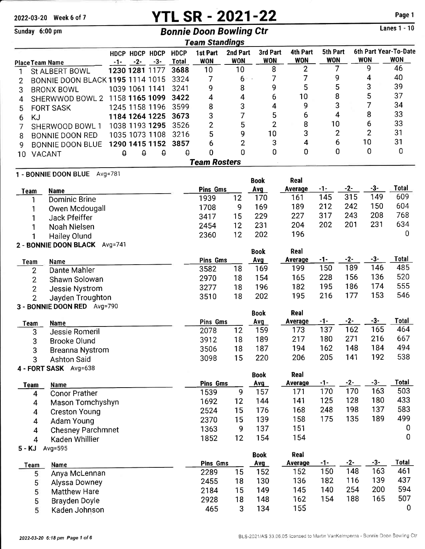# 2022-03-20 Week 6 of 7 **YTL SR - 2021-22** Page 1

|                                          | Sunday 6:00 pm                                    |          |                         |                |                             | <b>Bonnie Doon Bowling Ctr</b> |                        |                        |                               |                        |       |                | <b>Lanes 1 - 10</b>                 |
|------------------------------------------|---------------------------------------------------|----------|-------------------------|----------------|-----------------------------|--------------------------------|------------------------|------------------------|-------------------------------|------------------------|-------|----------------|-------------------------------------|
|                                          |                                                   |          |                         |                |                             | <b>Team Standings</b>          |                        |                        |                               |                        |       |                |                                     |
|                                          |                                                   |          |                         | HDCP HDCP HDCP | <b>HDCP</b><br><b>Total</b> | 1st Part<br><b>WON</b>         | 2nd Part<br><b>WON</b> | 3rd Part<br><b>WON</b> | <b>4th Part</b><br><b>WON</b> | 5th Part<br><b>WON</b> |       | <b>WON</b>     | 6th Part Year-To-Date<br><b>WON</b> |
| <b>Place Team Name</b><br>St ALBERT BOWL |                                                   | $-1-$    | $-2-$<br>1230 1281 1177 | $-3-$          | 3688                        | 10                             | 10                     | 8                      | 2                             | 7                      |       | 9              | 46                                  |
| 1<br>2                                   | BONNIE DOON BLACK 1195 1114 1015                  |          |                         |                | 3324                        | 7                              | 6                      | 7                      | 7                             | 9                      |       | 4              | 40                                  |
| 3                                        | <b>BRONX BOWL</b>                                 |          | 1039 1061 1141          |                | 3241                        | 9                              | 8                      | 9                      | 5                             | 5                      |       | 3              | 39                                  |
| 4                                        | SHERWWOD BOWL 2                                   |          |                         | 1158 1165 1099 | 3422                        | 4                              | 4                      | 6                      | 10                            | 8                      |       | 5              | 37                                  |
| 5                                        | <b>FORT SASK</b>                                  |          |                         | 1245 1158 1196 | 3599                        | 8                              | 3                      | 4                      | 9                             | 3                      |       | 7              | 34                                  |
| 6                                        | KJ                                                |          |                         | 1184 1264 1225 | 3673                        | 3                              | 7                      | 5                      | 6                             | 4                      |       | 8              | 33                                  |
| 7                                        | SHERWOOD BOWL 1                                   |          |                         | 1038 1193 1295 | 3526                        | $\overline{c}$                 | 5                      | $\overline{2}$         | 8                             | 10                     |       | 6              | 33                                  |
| 8                                        | BONNIE DOON RED                                   |          |                         | 1035 1073 1108 | 3216                        | 5                              | 9                      | 10                     | 3                             | $\overline{c}$         |       | $\overline{2}$ | 31                                  |
| 9                                        | <b>BONNIE DOON BLUE</b>                           |          |                         | 1290 1415 1152 | 3857                        | 6                              | $\overline{2}$         | 3                      | 4                             | 6                      |       | 10             | 31                                  |
| 10                                       | VACANT                                            | $\theta$ | $\theta$                | $\theta$       | $\theta$                    | 0                              | 0                      | 0                      | 0                             | 0                      |       | 0              | 0                                   |
|                                          |                                                   |          |                         |                |                             | <b>Team Rosters</b>            |                        |                        |                               |                        |       |                |                                     |
|                                          | 1 - BONNIE DOON BLUE Avg=781                      |          |                         |                |                             |                                |                        | <b>Book</b>            | Real                          |                        |       |                |                                     |
| <b>Team</b>                              | <b>Name</b>                                       |          |                         |                |                             | <b>Pins Gms</b>                |                        | <b>Avg</b>             | Average                       | $-1-$                  | $-2-$ | $-3-$          | Total                               |
|                                          | <b>Dominic Brine</b>                              |          |                         |                |                             | 1939                           | 12                     | 170                    | 161                           | 145                    | 315   | 149            | 609                                 |
| 1                                        | Owen Mcdougall                                    |          |                         |                |                             | 1708                           | 9                      | 169                    | 189                           | 212                    | 242   | 150            | 604                                 |
| 1                                        | Jack Pfeiffer                                     |          |                         |                |                             | 3417                           | 15                     | 229                    | 227                           | 317                    | 243   | 208            | 768                                 |
| 1                                        | Noah Nielsen                                      |          |                         |                |                             | 2454                           | 12                     | 231                    | 204                           | 202                    | 201   | 231            | 634                                 |
| 1                                        | <b>Hailey Olund</b>                               |          |                         |                |                             | 2360                           | 12                     | 202                    | 196                           |                        |       |                | 0                                   |
|                                          | 2 - BONNIE DOON BLACK Avg=741                     |          |                         |                |                             |                                |                        | <b>Book</b>            | Real                          |                        |       |                |                                     |
|                                          |                                                   |          |                         |                |                             | <b>Pins Gms</b>                |                        | Avg                    | Average                       | -1-                    | $-2-$ | $-3-$          | <b>Total</b>                        |
| Team                                     | Name<br>Dante Mahler<br>2                         |          |                         |                |                             | 3582                           | 18                     | 169                    | 199                           | 150                    | 189   | 146            | 485                                 |
|                                          | $\overline{2}$<br>Shawn Solowan                   |          |                         |                |                             | 2970                           | 18                     | 154                    | 165                           | 228                    | 156   | 136            | 520                                 |
|                                          | $\overline{2}$<br>Jessie Nystrom                  |          |                         |                |                             | 3277                           | 18                     | 196                    | 182                           | 195                    | 186   | 174            | 555                                 |
|                                          | $\overline{2}$<br>Jayden Troughton                |          |                         |                |                             | 3510                           | 18                     | 202                    | 195                           | 216                    | 177   | 153            | 546                                 |
|                                          | 3 - BONNIE DOON RED Avg=790                       |          |                         |                |                             |                                |                        |                        |                               |                        |       |                |                                     |
|                                          |                                                   |          |                         |                |                             |                                |                        | <b>Book</b>            | Real                          |                        | $-2-$ | $-3-$          | Total                               |
| Team                                     | <b>Name</b>                                       |          |                         |                |                             | Pins Gms<br>2078               | 12                     | Avg<br>159             | <b>Average</b><br>173         | -1-<br>137             | 162   | 165            | 464                                 |
|                                          | 3<br>Jessie Romeril                               |          |                         |                |                             | 3912                           | 18                     | 189                    | 217                           | 180                    | 271   | 216            | 667                                 |
|                                          | 3<br><b>Brooke Olund</b><br>3                     |          |                         |                |                             | 3506                           | 18                     | 187                    | 194                           | 162                    | 148   | 184            | 494                                 |
|                                          | <b>Breanna Nystrom</b><br>3<br><b>Ashton Said</b> |          |                         |                |                             | 3098                           | 15                     | 220                    | 206                           | 205                    | 141   | 192            | 538                                 |
|                                          | 4 - FORT SASK Avg=638                             |          |                         |                |                             |                                |                        |                        |                               |                        |       |                |                                     |
|                                          |                                                   |          |                         |                |                             |                                |                        | <b>Book</b>            | Real                          |                        |       |                |                                     |
| Team                                     | Name                                              |          |                         |                |                             | Pins Gms                       |                        | <u>Avg</u>             | Average                       | $-1-$                  | $-2-$ | $-3-$          | <b>Total</b>                        |
|                                          | <b>Conor Prather</b><br>$\overline{4}$            |          |                         |                |                             | 1539                           | 9                      | 157                    | 171                           | 170                    | 170   | 163            | 503                                 |
|                                          | Mason Tomchyshyn<br>4                             |          |                         |                |                             | 1692                           | 12                     | 144                    | 141                           | 125                    | 128   | 180            | 433                                 |
|                                          | $\overline{\mathbf{4}}$<br><b>Creston Young</b>   |          |                         |                |                             | 2524                           | 15                     | 176                    | 168                           | 248                    | 198   | 137<br>189     | 583<br>499                          |
|                                          | 4<br>Adam Young                                   |          |                         |                |                             | 2370                           | 15                     | 139                    | 158                           | 175                    | 135   |                |                                     |
|                                          | <b>Chesney Parchmnet</b><br>4                     |          |                         |                |                             | 1363                           | 9                      | 137                    | 151<br>154                    |                        |       |                | 0<br>0                              |
|                                          | Kaden Whillier<br>$\overline{\mathbf{4}}$         |          |                         |                |                             | 1852                           | 12                     | 154                    |                               |                        |       |                |                                     |
| $5 - KJ$                                 | Avg=595                                           |          |                         |                |                             |                                |                        | <b>Book</b>            | Real                          |                        |       |                |                                     |
| Team                                     | Name                                              |          |                         |                |                             | Pins Gms                       |                        | <u>Avg</u>             | <b>Average</b>                | $-1-$                  | $-2-$ | $-3-$          | <b>Total</b>                        |
|                                          | Anya McLennan<br>5                                |          |                         |                |                             | 2289                           | 15                     | 152                    | 152                           | 150                    | 148   | 163            | 461                                 |
|                                          | 5<br>Alyssa Downey                                |          |                         |                |                             | 2455                           | 18                     | 130                    | 136                           | 182                    | 116   | 139            | 437                                 |
|                                          | 5<br><b>Matthew Hare</b>                          |          |                         |                |                             | 2184                           | 15                     | 149                    | 145                           | 140                    | 254   | 200            | 594                                 |
|                                          | 5<br><b>Brayden Doyle</b>                         |          |                         |                |                             | 2928                           | 18                     | 148                    | 162                           | 154                    | 188   | 165            | 507                                 |
|                                          | 5<br>Kaden Johnson                                |          |                         |                |                             | 465                            | 3                      | 134                    | 155                           |                        |       |                | 0                                   |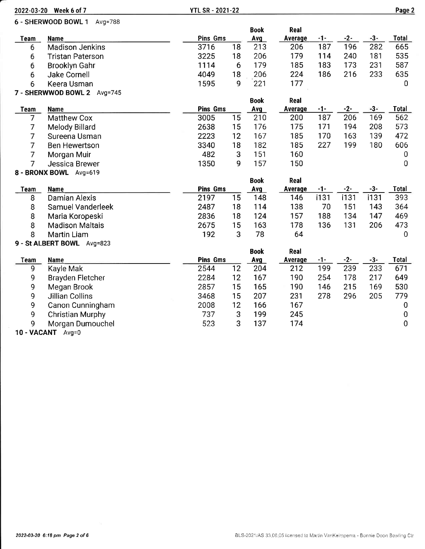| 2022-03-20 Week 6 of 7 |                             | <b>YTL SR - 2021-22</b> |    |             |         |       |       | Page 2 |                |
|------------------------|-----------------------------|-------------------------|----|-------------|---------|-------|-------|--------|----------------|
|                        | 6 - SHERWOOD BOWL 1 Avg=788 |                         |    |             |         |       |       |        |                |
|                        |                             |                         |    | <b>Book</b> | Real    |       |       |        |                |
| Team                   | <b>Name</b>                 | Pins Gms                |    | Avg         | Average | $-1-$ | $-2-$ | $-3-$  | Total          |
| 6                      | <b>Madison Jenkins</b>      | 3716                    | 18 | 213         | 206     | 187   | 196   | 282    | 665            |
| 6                      | <b>Tristan Paterson</b>     | 3225                    | 18 | 206         | 179     | 114   | 240   | 181    | 535            |
| 6                      | <b>Brooklyn Gahr</b>        | 1114                    | 6  | 179         | 185     | 183   | 173   | 231    | 587            |
| 6                      | <b>Jake Cornell</b>         | 4049                    | 18 | 206         | 224     | 186   | 216   | 233    | 635            |
| 6                      | Keera Usman                 | 1595                    | 9  | 221         | 177     |       |       |        | 0              |
|                        | 7 - SHERWWOD BOWL 2 Avg=745 |                         |    |             |         |       |       |        |                |
|                        |                             |                         |    | <b>Book</b> | Real    |       |       |        |                |
| <b>Team</b>            | <b>Name</b>                 | <b>Pins Gms</b>         |    | Avg         | Average | $-1-$ | $-2-$ | $-3-$  | <b>Total</b>   |
| 7                      | <b>Matthew Cox</b>          | 3005                    | 15 | 210         | 200     | 187   | 206   | 169    | 562            |
| 7                      | Melody Billard              | 2638                    | 15 | 176         | 175     | 171   | 194   | 208    | 573            |
| 7                      | Sureena Usman               | 2223                    | 12 | 167         | 185     | 170   | 163   | 139    | 472            |
| $\overline{7}$         | <b>Ben Hewertson</b>        | 3340                    | 18 | 182         | 185     | 227   | 199   | 180    | 606            |
| 7                      | Morgan Muir                 | 482                     | 3  | 151         | 160     |       |       |        | 0              |
| 7                      | Jessica Brewer              | 1350                    | 9  | 157         | 150     |       |       |        | $\mathbf 0$    |
|                        | 8 - BRONX BOWL Avg=619      |                         |    |             |         |       |       |        |                |
|                        |                             |                         |    | <b>Book</b> | Real    |       |       |        |                |
| <b>Team</b>            | Name                        | <b>Pins Gms</b>         |    | Avg         | Average | $-1-$ | $-2-$ | $-3-$  | <b>Total</b>   |
| 8                      | <b>Damian Alexis</b>        | 2197                    | 15 | 148         | 146     | i131  | i131  | i131   | 393            |
| 8                      | Samuel Vanderleek           | 2487                    | 18 | 114         | 138     | 70    | 151   | 143    | 364            |
| 8                      | Maria Koropeski             | 2836                    | 18 | 124         | 157     | 188   | 134   | 147    | 469            |
| 8                      | <b>Madison Maltais</b>      | 2675                    | 15 | 163         | 178     | 136   | 131   | 206    | 473            |
| 8                      | Martin Liam                 | 192                     | 3  | 78          | 64      |       |       |        | $\overline{0}$ |
|                        | 9 - St ALBERT BOWL Avg=823  |                         |    |             |         |       |       |        |                |
|                        |                             |                         |    | <b>Book</b> | Real    |       |       |        |                |
| <b>Team</b>            | <b>Name</b>                 | <b>Pins Gms</b>         |    | Avg         | Average | $-1-$ | $-2-$ | $-3-$  | Total          |
| 9                      | Kayle Mak                   | 2544                    | 12 | 204         | 212     | 199   | 239   | 233    | 671            |
| 9                      | <b>Brayden Fletcher</b>     | 2284                    | 12 | 167         | 190     | 254   | 178   | 217    | 649            |
| 9                      | Megan Brook                 | 2857                    | 15 | 165         | 190     | 146   | 215   | 169    | 530            |
| 9                      | Jillian Collins             | 3468                    | 15 | 207         | 231     | 278   | 296   | 205    | 779            |
| 9                      | Canon Cunningham            | 2008                    | 12 | 166         | 167     |       |       |        | 0              |
| 9                      | <b>Christian Murphy</b>     | 737                     | 3  | 199         | 245     |       |       |        | $\pmb{0}$      |
| 9                      | Morgan Dumouchel            | 523                     | 3  | 137         | 174     |       |       |        | 0              |
| <b>APR</b>             | $\sim$ $\sim$               |                         |    |             |         |       |       |        |                |

10 - VACANT Avg=0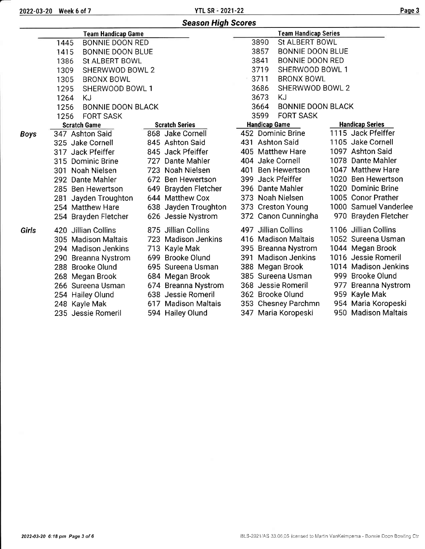2022-03-20 Week 6 of <sup>7</sup> YTL SR -2021-22 Paqe <sup>3</sup>

|             |                                  | <b>Season High Scores</b> |                                  |                        |
|-------------|----------------------------------|---------------------------|----------------------------------|------------------------|
|             | <b>Team Handicap Game</b>        |                           | <b>Team Handicap Series</b>      |                        |
|             | <b>BONNIE DOON RED</b><br>1445   |                           | 3890<br>St ALBERT BOWL           |                        |
|             | <b>BONNIE DOON BLUE</b><br>1415  |                           | 3857<br><b>BONNIE DOON BLUE</b>  |                        |
|             | <b>St ALBERT BOWL</b><br>1386    |                           | 3841<br><b>BONNIE DOON RED</b>   |                        |
|             | SHERWWOD BOWL 2<br>1309          |                           | 3719<br>SHERWOOD BOWL 1          |                        |
|             | 1305<br><b>BRONX BOWL</b>        |                           | 3711<br><b>BRONX BOWL</b>        |                        |
|             | 1295<br>SHERWOOD BOWL 1          |                           | 3686<br>SHERWWOD BOWL 2          |                        |
|             | 1264<br>KJ                       |                           | 3673<br><b>KJ</b>                |                        |
|             | 1256<br><b>BONNIE DOON BLACK</b> |                           | <b>BONNIE DOON BLACK</b><br>3664 |                        |
|             | <b>FORT SASK</b><br>1256         |                           | 3599<br><b>FORT SASK</b>         |                        |
|             | <b>Scratch Game</b>              | <b>Scratch Series</b>     | <b>Handicap Game</b>             | <b>Handicap Series</b> |
| <b>Boys</b> | 347 Ashton Said                  | 868 Jake Cornell          | 452 Dominic Brine                | 1115 Jack Pfeiffer     |
|             | 325 Jake Cornell                 | 845 Ashton Said           | 431 Ashton Said                  | 1105 Jake Cornell      |
|             | 317 Jack Pfeiffer                | 845 Jack Pfeiffer         | 405 Matthew Hare                 | 1097 Ashton Said       |
|             | 315 Dominic Brine                | 727 Dante Mahler          | 404 Jake Cornell                 | 1078 Dante Mahler      |
|             | 301 Noah Nielsen                 | 723 Noah Nielsen          | 401 Ben Hewertson                | 1047 Matthew Hare      |
|             | 292 Dante Mahler                 | 672 Ben Hewertson         | 399 Jack Pfeiffer                | 1020 Ben Hewertson     |
|             | 285 Ben Hewertson                | 649 Brayden Fletcher      | 396 Dante Mahler                 | 1020 Dominic Brine     |
|             | 281 Jayden Troughton             | 644 Matthew Cox           | 373 Noah Nielsen                 | 1005 Conor Prather     |
|             | 254 Matthew Hare                 | 638 Jayden Troughton      | 373 Creston Young                | 1000 Samuel Vanderlee  |
|             | 254 Brayden Fletcher             | 626 Jessie Nystrom        | 372 Canon Cunningha              | 970 Brayden Fletcher   |
| Girls       | 420 Jillian Collins              | 875 Jillian Collins       | 497 Jillian Collins              | 1106 Jillian Collins   |
|             | 305 Madison Maltais              | 723 Madison Jenkins       | 416 Madison Maltais              | 1052 Sureena Usman     |
|             | 294 Madison Jenkins              | 713 Kayle Mak             | 395 Breanna Nystrom              | 1044 Megan Brook       |
|             | 290 Breanna Nystrom              | 699 Brooke Olund          | 391 Madison Jenkins              | 1016 Jessie Romeril    |
|             | 288 Brooke Olund                 | 695 Sureena Usman         | 388 Megan Brook                  | 1014 Madison Jenkins   |
|             | 268 Megan Brook                  | 684 Megan Brook           | 385 Sureena Usman                | 999 Brooke Olund       |
|             | 266 Sureena Usman                | 674 Breanna Nystrom       | 368 Jessie Romeril               | 977 Breanna Nystrom    |
|             | 254 Hailey Olund                 | 638 Jessie Romeril        | 362 Brooke Olund                 | 959 Kayle Mak          |
|             | 248 Kayle Mak                    | 617 Madison Maltais       | 353 Chesney Parchmn              | 954 Maria Koropeski    |
|             | 235 Jessie Romeril               | 594 Hailey Olund          | 347 Maria Koropeski              | 950 Madison Maltais    |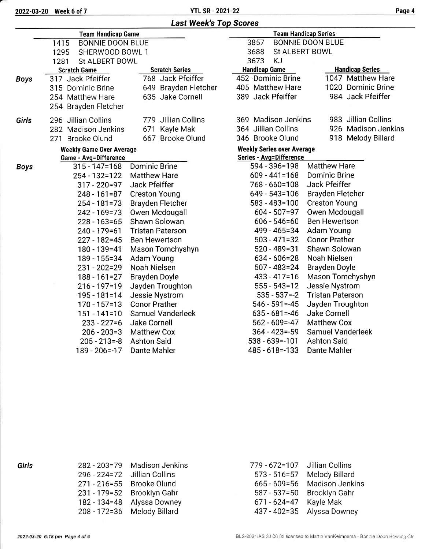|  | <b>Last Week's Top Scores</b> |
|--|-------------------------------|
|  |                               |

|             | <b>Team Handicap Game</b>       |                         | <b>Team Handicap Series</b>       |                         |  |  |  |  |
|-------------|---------------------------------|-------------------------|-----------------------------------|-------------------------|--|--|--|--|
|             | <b>BONNIE DOON BLUE</b><br>1415 |                         | 3857<br><b>BONNIE DOON BLUE</b>   |                         |  |  |  |  |
|             | 1295<br>SHERWOOD BOWL 1         |                         | 3688<br>St ALBERT BOWL            |                         |  |  |  |  |
|             | St ALBERT BOWL<br>1281          |                         | 3673<br>KJ                        |                         |  |  |  |  |
|             | <b>Scratch Game</b>             | <b>Scratch Series</b>   | <b>Handicap Game</b>              | <b>Handicap Series</b>  |  |  |  |  |
| <b>Boys</b> | 317 Jack Pfeiffer               | 768 Jack Pfeiffer       | 452 Dominic Brine                 | 1047 Matthew Hare       |  |  |  |  |
|             | 315 Dominic Brine               | 649 Brayden Fletcher    | 405 Matthew Hare                  | 1020 Dominic Brine      |  |  |  |  |
|             | 254 Matthew Hare                | 635 Jake Cornell        | 389 Jack Pfeiffer                 | 984 Jack Pfeiffer       |  |  |  |  |
|             | 254 Brayden Fletcher            |                         |                                   |                         |  |  |  |  |
| Girls       | 296 Jillian Collins             | 779 Jillian Collins     | 369 Madison Jenkins               | 983 Jillian Collins     |  |  |  |  |
|             | 282 Madison Jenkins             | 671<br>Kayle Mak        | 364 Jillian Collins               | 926 Madison Jenkins     |  |  |  |  |
|             | 271 Brooke Olund                | 667 Brooke Olund        | 346 Brooke Olund                  | 918 Melody Billard      |  |  |  |  |
|             | <b>Weekly Game Over Average</b> |                         | <b>Weekly Series over Average</b> |                         |  |  |  |  |
|             | <b>Game - Avg=Difference</b>    |                         | <b>Series - Avg=Difference</b>    |                         |  |  |  |  |
| <b>Boys</b> | $315 - 147 = 168$               | <b>Dominic Brine</b>    | 594 - 396=198                     | <b>Matthew Hare</b>     |  |  |  |  |
|             | 254 - 132=122                   | <b>Matthew Hare</b>     | $609 - 441 = 168$                 | Dominic Brine           |  |  |  |  |
|             | $317 - 220 = 97$                | Jack Pfeiffer           | 768 - 660=108                     | Jack Pfeiffer           |  |  |  |  |
|             | $248 - 161 = 87$                | <b>Creston Young</b>    | $649 - 543 = 106$                 | <b>Brayden Fletcher</b> |  |  |  |  |
|             | $254 - 181 = 73$                | <b>Brayden Fletcher</b> | 583 - 483=100                     | <b>Creston Young</b>    |  |  |  |  |
|             | 242 - 169 = 73                  | Owen Mcdougall          | $604 - 507 = 97$                  | Owen Mcdougall          |  |  |  |  |
|             | $228 - 163 = 65$                | Shawn Solowan           | $606 - 546 = 60$                  | <b>Ben Hewertson</b>    |  |  |  |  |
|             | 240 - 179 = 61                  | <b>Tristan Paterson</b> | 499 - 465 = 34                    | Adam Young              |  |  |  |  |
|             | $227 - 182 = 45$                | <b>Ben Hewertson</b>    | $503 - 471 = 32$                  | <b>Conor Prather</b>    |  |  |  |  |
|             | 180 - 139 = 41                  | Mason Tomchyshyn        | $520 - 489 = 31$                  | Shawn Solowan           |  |  |  |  |
|             | 189 - 155 = 34                  | Adam Young              | $634 - 606 = 28$                  | Noah Nielsen            |  |  |  |  |
|             | $231 - 202 = 29$                | Noah Nielsen            | $507 - 483 = 24$                  | <b>Brayden Doyle</b>    |  |  |  |  |
|             | $188 - 161 = 27$                | Brayden Doyle           | $433 - 417 = 16$                  | Mason Tomchyshyn        |  |  |  |  |
|             | $216 - 197 = 19$                | Jayden Troughton        | $555 - 543 = 12$                  | Jessie Nystrom          |  |  |  |  |
|             | $195 - 181 = 14$                | <b>Jessie Nystrom</b>   | $535 - 537 = -2$                  | <b>Tristan Paterson</b> |  |  |  |  |
|             | $170 - 157 = 13$                | <b>Conor Prather</b>    | $546 - 591 = -45$                 | Jayden Troughton        |  |  |  |  |
|             | $151 - 141 = 10$                | Samuel Vanderleek       | $635 - 681 = -46$                 | Jake Cornell            |  |  |  |  |
|             | $233 - 227 = 6$                 | <b>Jake Cornell</b>     | $562 - 609 = -47$                 | <b>Matthew Cox</b>      |  |  |  |  |
|             | $206 - 203 = 3$                 | <b>Matthew Cox</b>      | $364 - 423 = -59$                 | Samuel Vanderleek       |  |  |  |  |
|             | $205 - 213 = -8$                | <b>Ashton Said</b>      | $538 - 639 = -101$                | <b>Ashton Said</b>      |  |  |  |  |
|             | $189 - 206 = -17$               | Dante Mahler            | 485 - 618 = - 133                 | Dante Mahler            |  |  |  |  |

Girls

| 282 - 203 = 79   | <b>Madison Jenkins</b> |
|------------------|------------------------|
| $296 - 224 = 72$ | Jillian Collins        |
| $271 - 216 = 55$ | <b>Brooke Olund</b>    |
| $231 - 179 = 52$ | <b>Brooklyn Gahr</b>   |
| 182 - 134 = 48   | Alyssa Downey          |
| $208 - 172 = 36$ | Melody Billard         |

| 779 - 672=107    | Jillian Collins        |
|------------------|------------------------|
| $573 - 516 = 57$ | Melody Billard         |
| $665 - 609 = 56$ | <b>Madison Jenkins</b> |
| $587 - 537 = 50$ | Brooklyn Gahr          |
| $671 - 624 = 47$ | Kayle Mak              |
| 437 - 402=35     | Alyssa Downey          |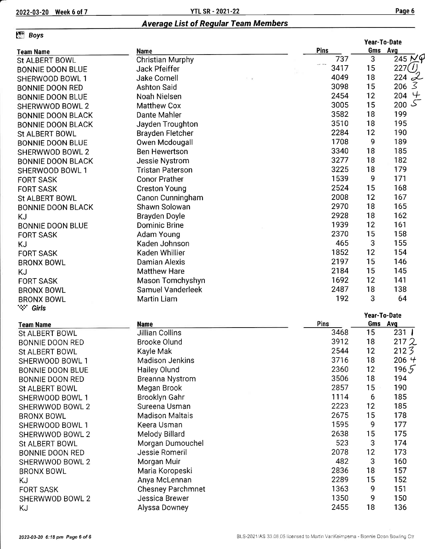### Average List of Regular Team Members

### **Fill Boys**

|                          |                          |      | Year-To-Date |                     |  |
|--------------------------|--------------------------|------|--------------|---------------------|--|
| <b>Team Name</b>         | Name                     | Pins | Gms Avg      |                     |  |
| St ALBERT BOWL           | <b>Christian Murphy</b>  | 737  | 3            | $245\cancel{\sim}9$ |  |
| <b>BONNIE DOON BLUE</b>  | Jack Pfeiffer            | 3417 | 15           | 227()               |  |
| SHERWOOD BOWL 1          | <b>Jake Cornell</b>      | 4049 | 18           | $224 - L$           |  |
| <b>BONNIE DOON RED</b>   | <b>Ashton Said</b>       | 3098 | 15           | 3<br>206            |  |
| <b>BONNIE DOON BLUE</b>  | Noah Nielsen             | 2454 | 12           | $204 +$             |  |
| SHERWWOD BOWL 2          | <b>Matthew Cox</b>       | 3005 | 15           | ک<br>200            |  |
| <b>BONNIE DOON BLACK</b> | Dante Mahler             | 3582 | 18           | 199                 |  |
| <b>BONNIE DOON BLACK</b> | Jayden Troughton         | 3510 | 18           | 195                 |  |
| <b>St ALBERT BOWL</b>    | Brayden Fletcher         | 2284 | 12           | 190                 |  |
| <b>BONNIE DOON BLUE</b>  | Owen Mcdougall           | 1708 | 9            | 189                 |  |
| SHERWWOD BOWL 2          | <b>Ben Hewertson</b>     | 3340 | 18           | 185                 |  |
| <b>BONNIE DOON BLACK</b> | Jessie Nystrom           | 3277 | 18           | 182                 |  |
| SHERWOOD BOWL 1          | <b>Tristan Paterson</b>  | 3225 | 18           | 179                 |  |
| <b>FORT SASK</b>         | <b>Conor Prather</b>     | 1539 | 9            | 171                 |  |
| <b>FORT SASK</b>         | <b>Creston Young</b>     | 2524 | 15           | 168                 |  |
| <b>St ALBERT BOWL</b>    | Canon Cunningham         | 2008 | 12           | 167                 |  |
| <b>BONNIE DOON BLACK</b> | Shawn Solowan            | 2970 | 18           | 165                 |  |
|                          | Brayden Doyle            | 2928 | 18           | 162                 |  |
| <b>KJ</b>                | <b>Dominic Brine</b>     | 1939 | 12           | 161                 |  |
| <b>BONNIE DOON BLUE</b>  |                          | 2370 | 15           | 158                 |  |
| <b>FORT SASK</b>         | Adam Young               | 465  | 3            | 155                 |  |
| KJ                       | Kaden Johnson            |      |              |                     |  |
| <b>FORT SASK</b>         | Kaden Whillier           | 1852 | 12           | 154                 |  |
| <b>BRONX BOWL</b>        | <b>Damian Alexis</b>     | 2197 | 15           | 146                 |  |
| <b>KJ</b>                | <b>Matthew Hare</b>      | 2184 | 15           | 145                 |  |
| <b>FORT SASK</b>         | Mason Tomchyshyn         | 1692 | 12           | 141                 |  |
| <b>BRONX BOWL</b>        | Samuel Vanderleek        | 2487 | 18           | 138                 |  |
| <b>BRONX BOWL</b>        | <b>Martin Liam</b>       | 192  | 3            | 64                  |  |
| <b>Wir Girls</b>         |                          |      |              |                     |  |
|                          |                          |      | Year-To-Date |                     |  |
| <b>Team Name</b>         | <b>Name</b>              | Pins | Gms          | Avg                 |  |
| <b>St ALBERT BOWL</b>    | <b>Jillian Collins</b>   | 3468 | 15           | 231                 |  |
| <b>BONNIE DOON RED</b>   | <b>Brooke Olund</b>      | 3912 | 18           | 2172                |  |
| St ALBERT BOWL           | Kayle Mak                | 2544 | 12           | 2123                |  |
| SHERWOOD BOWL 1          | <b>Madison Jenkins</b>   | 3716 | 18           | $206$ <sup>4</sup>  |  |
| <b>BONNIE DOON BLUE</b>  | <b>Hailey Olund</b>      | 2360 | 12           | 1965                |  |
| <b>BONNIE DOON RED</b>   | <b>Breanna Nystrom</b>   | 3506 | 18           | 194                 |  |
| <b>St ALBERT BOWL</b>    | Megan Brook              | 2857 | 15           | 190                 |  |
| SHERWOOD BOWL 1          | Brooklyn Gahr            | 1114 | 6            | 185                 |  |
| SHERWWOD BOWL 2          | Sureena Usman            | 2223 | 12           | 185                 |  |
| <b>BRONX BOWL</b>        | <b>Madison Maltais</b>   | 2675 | 15           | 178                 |  |
| SHERWOOD BOWL 1          | Keera Usman              | 1595 | 9            | 177                 |  |
| SHERWWOD BOWL 2          | Melody Billard           | 2638 | 15           | 175                 |  |
| St ALBERT BOWL           | Morgan Dumouchel         | 523  | 3            | 174                 |  |
| BONNIE DOON RED          | Jessie Romeril           | 2078 | 12           | 173                 |  |
| SHERWWOD BOWL 2          | Morgan Muir              | 482  | 3            | 160                 |  |
| <b>BRONX BOWL</b>        | Maria Koropeski          | 2836 | 18           | 157                 |  |
| KJ                       | Anya McLennan            | 2289 | 15           | 152                 |  |
| <b>FORT SASK</b>         | <b>Chesney Parchmnet</b> | 1363 | 9            | 151                 |  |
| SHERWWOD BOWL 2          | Jessica Brewer           | 1350 | 9            | 150                 |  |
| ΚJ                       | Alyssa Downey            | 2455 | 18           | 136                 |  |
|                          |                          |      |              |                     |  |